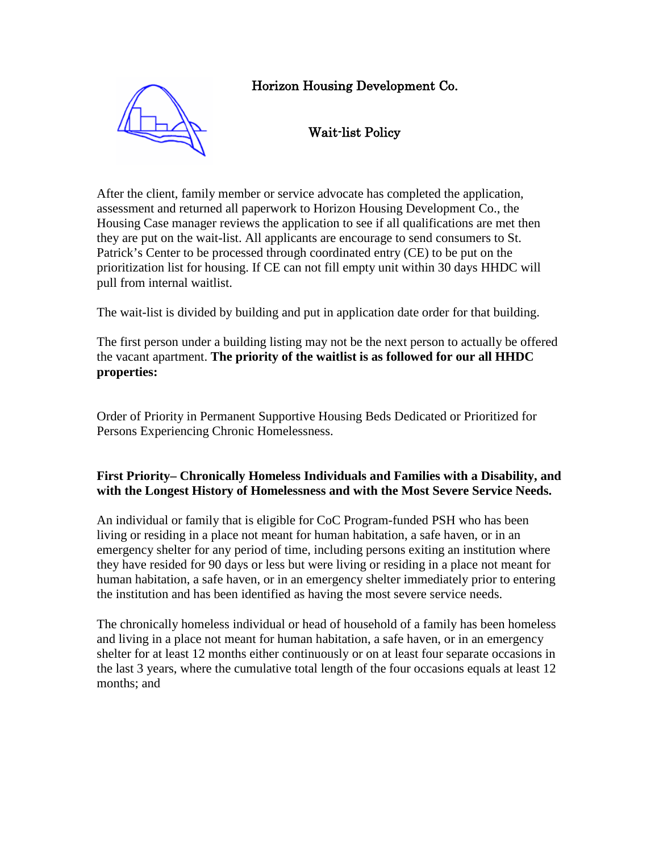# Horizon Housing Development Co.



# Wait-list Policy

After the client, family member or service advocate has completed the application, assessment and returned all paperwork to Horizon Housing Development Co., the Housing Case manager reviews the application to see if all qualifications are met then they are put on the wait-list. All applicants are encourage to send consumers to St. Patrick's Center to be processed through coordinated entry (CE) to be put on the prioritization list for housing. If CE can not fill empty unit within 30 days HHDC will pull from internal waitlist.

The wait-list is divided by building and put in application date order for that building.

The first person under a building listing may not be the next person to actually be offered the vacant apartment. **The priority of the waitlist is as followed for our all HHDC properties:**

Order of Priority in Permanent Supportive Housing Beds Dedicated or Prioritized for Persons Experiencing Chronic Homelessness.

#### **First Priority– Chronically Homeless Individuals and Families with a Disability, and with the Longest History of Homelessness and with the Most Severe Service Needs.**

An individual or family that is eligible for CoC Program-funded PSH who has been living or residing in a place not meant for human habitation, a safe haven, or in an emergency shelter for any period of time, including persons exiting an institution where they have resided for 90 days or less but were living or residing in a place not meant for human habitation, a safe haven, or in an emergency shelter immediately prior to entering the institution and has been identified as having the most severe service needs.

The chronically homeless individual or head of household of a family has been homeless and living in a place not meant for human habitation, a safe haven, or in an emergency shelter for at least 12 months either continuously or on at least four separate occasions in the last 3 years, where the cumulative total length of the four occasions equals at least 12 months; and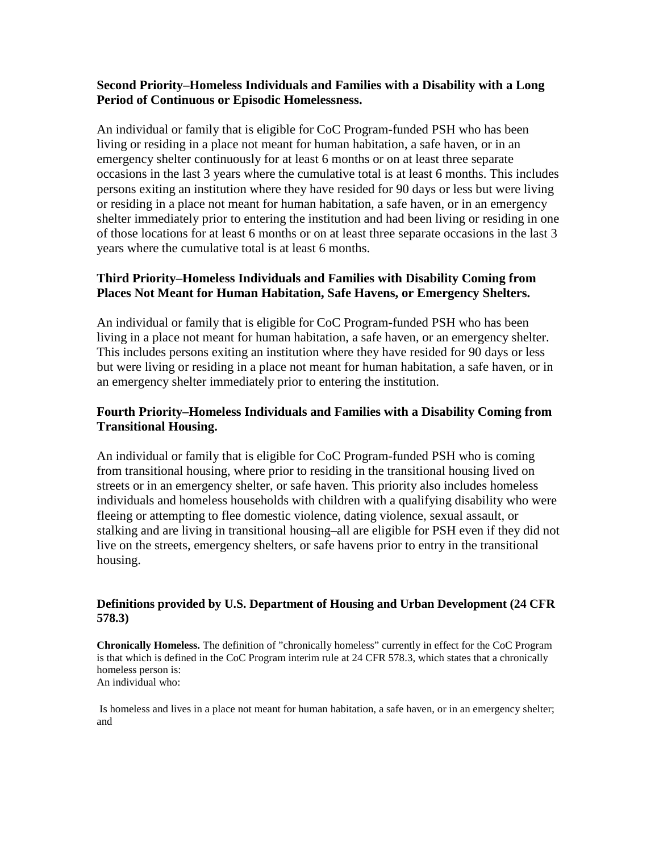#### **Second Priority–Homeless Individuals and Families with a Disability with a Long Period of Continuous or Episodic Homelessness.**

An individual or family that is eligible for CoC Program-funded PSH who has been living or residing in a place not meant for human habitation, a safe haven, or in an emergency shelter continuously for at least 6 months or on at least three separate occasions in the last 3 years where the cumulative total is at least 6 months. This includes persons exiting an institution where they have resided for 90 days or less but were living or residing in a place not meant for human habitation, a safe haven, or in an emergency shelter immediately prior to entering the institution and had been living or residing in one of those locations for at least 6 months or on at least three separate occasions in the last 3 years where the cumulative total is at least 6 months.

### **Third Priority–Homeless Individuals and Families with Disability Coming from Places Not Meant for Human Habitation, Safe Havens, or Emergency Shelters.**

An individual or family that is eligible for CoC Program-funded PSH who has been living in a place not meant for human habitation, a safe haven, or an emergency shelter. This includes persons exiting an institution where they have resided for 90 days or less but were living or residing in a place not meant for human habitation, a safe haven, or in an emergency shelter immediately prior to entering the institution.

## **Fourth Priority–Homeless Individuals and Families with a Disability Coming from Transitional Housing.**

An individual or family that is eligible for CoC Program-funded PSH who is coming from transitional housing, where prior to residing in the transitional housing lived on streets or in an emergency shelter, or safe haven. This priority also includes homeless individuals and homeless households with children with a qualifying disability who were fleeing or attempting to flee domestic violence, dating violence, sexual assault, or stalking and are living in transitional housing–all are eligible for PSH even if they did not live on the streets, emergency shelters, or safe havens prior to entry in the transitional housing.

#### **Definitions provided by U.S. Department of Housing and Urban Development (24 CFR 578.3)**

**Chronically Homeless.** The definition of "chronically homeless" currently in effect for the CoC Program is that which is defined in the CoC Program interim rule at 24 CFR 578.3, which states that a chronically homeless person is: An individual who:

Is homeless and lives in a place not meant for human habitation, a safe haven, or in an emergency shelter; and